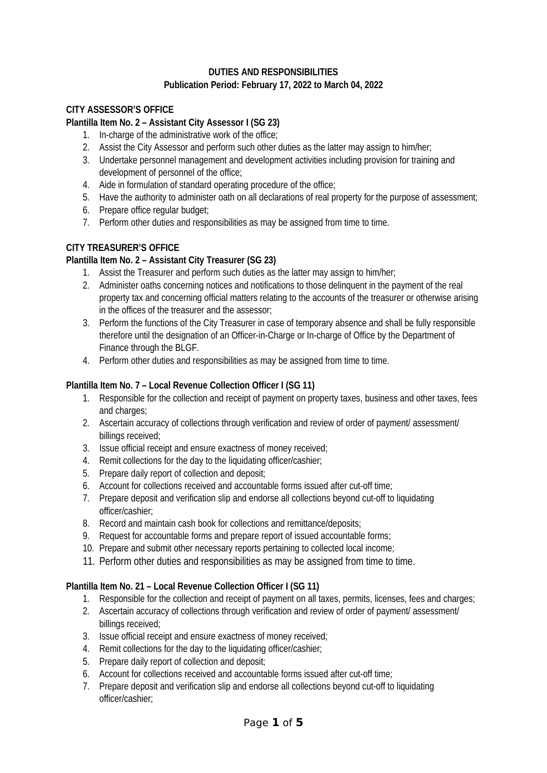## **DUTIES AND RESPONSIBILITIES Publication Period: February 17, 2022 to March 04, 2022**

## **CITY ASSESSOR'S OFFICE**

#### **Plantilla Item No. 2 – Assistant City Assessor I (SG 23)**

- 1. In-charge of the administrative work of the office;
- 2. Assist the City Assessor and perform such other duties as the latter may assign to him/her;
- 3. Undertake personnel management and development activities including provision for training and development of personnel of the office;
- 4. Aide in formulation of standard operating procedure of the office;
- 5. Have the authority to administer oath on all declarations of real property for the purpose of assessment;
- 6. Prepare office regular budget;
- 7. Perform other duties and responsibilities as may be assigned from time to time.

### **CITY TREASURER'S OFFICE**

### **Plantilla Item No. 2 – Assistant City Treasurer (SG 23)**

- 1. Assist the Treasurer and perform such duties as the latter may assign to him/her;
- 2. Administer oaths concerning notices and notifications to those delinquent in the payment of the real property tax and concerning official matters relating to the accounts of the treasurer or otherwise arising in the offices of the treasurer and the assessor;
- 3. Perform the functions of the City Treasurer in case of temporary absence and shall be fully responsible therefore until the designation of an Officer-in-Charge or In-charge of Office by the Department of Finance through the BLGF.
- 4. Perform other duties and responsibilities as may be assigned from time to time.

### **Plantilla Item No. 7 – Local Revenue Collection Officer I (SG 11)**

- 1. Responsible for the collection and receipt of payment on property taxes, business and other taxes, fees and charges;
- 2. Ascertain accuracy of collections through verification and review of order of payment/ assessment/ billings received;
- 3. Issue official receipt and ensure exactness of money received;
- 4. Remit collections for the day to the liquidating officer/cashier;
- 5. Prepare daily report of collection and deposit;
- 6. Account for collections received and accountable forms issued after cut-off time;
- 7. Prepare deposit and verification slip and endorse all collections beyond cut-off to liquidating officer/cashier;
- 8. Record and maintain cash book for collections and remittance/deposits;
- 9. Request for accountable forms and prepare report of issued accountable forms;
- 10. Prepare and submit other necessary reports pertaining to collected local income;
- 11. Perform other duties and responsibilities as may be assigned from time to time.

### **Plantilla Item No. 21 – Local Revenue Collection Officer I (SG 11)**

- 1. Responsible for the collection and receipt of payment on all taxes, permits, licenses, fees and charges;
- 2. Ascertain accuracy of collections through verification and review of order of payment/ assessment/ billings received;
- 3. Issue official receipt and ensure exactness of money received;
- 4. Remit collections for the day to the liquidating officer/cashier;
- 5. Prepare daily report of collection and deposit;
- 6. Account for collections received and accountable forms issued after cut-off time;
- 7. Prepare deposit and verification slip and endorse all collections beyond cut-off to liquidating officer/cashier;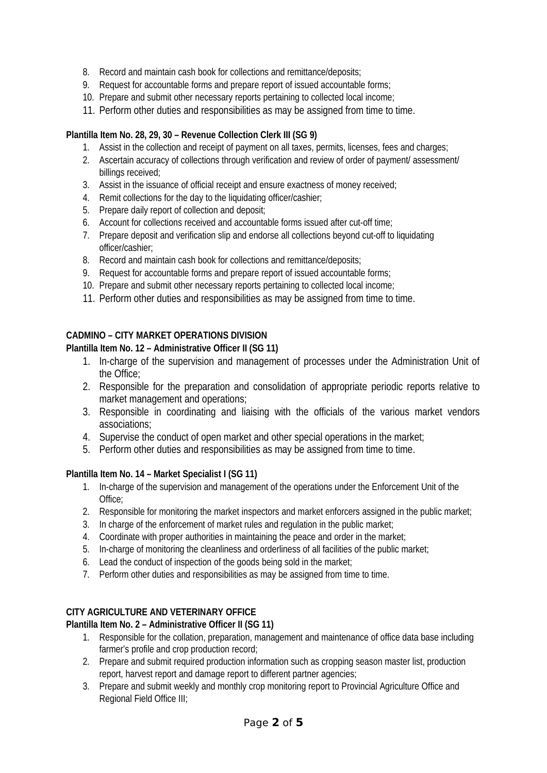- 8. Record and maintain cash book for collections and remittance/deposits;
- 9. Request for accountable forms and prepare report of issued accountable forms;
- 10. Prepare and submit other necessary reports pertaining to collected local income;
- 11. Perform other duties and responsibilities as may be assigned from time to time.

### **Plantilla Item No. 28, 29, 30 – Revenue Collection Clerk III (SG 9)**

- 1. Assist in the collection and receipt of payment on all taxes, permits, licenses, fees and charges;
- 2. Ascertain accuracy of collections through verification and review of order of payment/ assessment/ billings received;
- 3. Assist in the issuance of official receipt and ensure exactness of money received;
- 4. Remit collections for the day to the liquidating officer/cashier;
- 5. Prepare daily report of collection and deposit;
- 6. Account for collections received and accountable forms issued after cut-off time;
- 7. Prepare deposit and verification slip and endorse all collections beyond cut-off to liquidating officer/cashier;
- 8. Record and maintain cash book for collections and remittance/deposits;
- 9. Request for accountable forms and prepare report of issued accountable forms;
- 10. Prepare and submit other necessary reports pertaining to collected local income;
- 11. Perform other duties and responsibilities as may be assigned from time to time.

# **CADMINO – CITY MARKET OPERATIONS DIVISION**

### **Plantilla Item No. 12 – Administrative Officer II (SG 11)**

- 1. In-charge of the supervision and management of processes under the Administration Unit of the Office;
- 2. Responsible for the preparation and consolidation of appropriate periodic reports relative to market management and operations;
- 3. Responsible in coordinating and liaising with the officials of the various market vendors associations;
- 4. Supervise the conduct of open market and other special operations in the market;
- 5. Perform other duties and responsibilities as may be assigned from time to time.

### **Plantilla Item No. 14 – Market Specialist I (SG 11)**

- 1. In-charge of the supervision and management of the operations under the Enforcement Unit of the Office;
- 2. Responsible for monitoring the market inspectors and market enforcers assigned in the public market;
- 3. In charge of the enforcement of market rules and regulation in the public market;
- 4. Coordinate with proper authorities in maintaining the peace and order in the market;
- 5. In-charge of monitoring the cleanliness and orderliness of all facilities of the public market;
- 6. Lead the conduct of inspection of the goods being sold in the market;
- 7. Perform other duties and responsibilities as may be assigned from time to time.

# **CITY AGRICULTURE AND VETERINARY OFFICE**

### **Plantilla Item No. 2 – Administrative Officer II (SG 11)**

- 1. Responsible for the collation, preparation, management and maintenance of office data base including farmer's profile and crop production record;
- 2. Prepare and submit required production information such as cropping season master list, production report, harvest report and damage report to different partner agencies;
- 3. Prepare and submit weekly and monthly crop monitoring report to Provincial Agriculture Office and Regional Field Office III;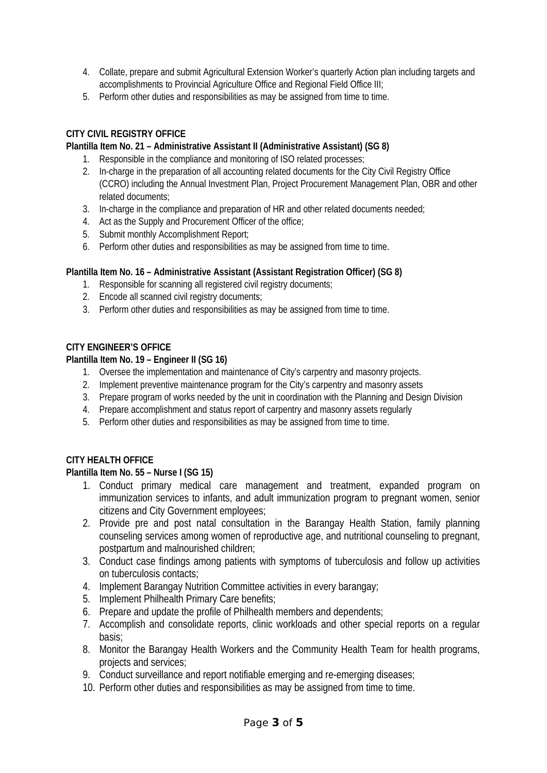- 4. Collate, prepare and submit Agricultural Extension Worker's quarterly Action plan including targets and accomplishments to Provincial Agriculture Office and Regional Field Office III;
- 5. Perform other duties and responsibilities as may be assigned from time to time.

## **CITY CIVIL REGISTRY OFFICE**

### **Plantilla Item No. 21 – Administrative Assistant II (Administrative Assistant) (SG 8)**

- 1. Responsible in the compliance and monitoring of ISO related processes;
- 2. In-charge in the preparation of all accounting related documents for the City Civil Registry Office (CCRO) including the Annual Investment Plan, Project Procurement Management Plan, OBR and other related documents;
- 3. In-charge in the compliance and preparation of HR and other related documents needed;
- 4. Act as the Supply and Procurement Officer of the office;
- 5. Submit monthly Accomplishment Report;
- 6. Perform other duties and responsibilities as may be assigned from time to time.

## **Plantilla Item No. 16 – Administrative Assistant (Assistant Registration Officer) (SG 8)**

- 1. Responsible for scanning all registered civil registry documents;
- 2. Encode all scanned civil registry documents;
- 3. Perform other duties and responsibilities as may be assigned from time to time.

### **CITY ENGINEER'S OFFICE**

### **Plantilla Item No. 19 – Engineer II (SG 16)**

- 1. Oversee the implementation and maintenance of City's carpentry and masonry projects.
- 2. Implement preventive maintenance program for the City's carpentry and masonry assets
- 3. Prepare program of works needed by the unit in coordination with the Planning and Design Division
- 4. Prepare accomplishment and status report of carpentry and masonry assets regularly
- 5. Perform other duties and responsibilities as may be assigned from time to time.

### **CITY HEALTH OFFICE**

### **Plantilla Item No. 55 – Nurse I (SG 15)**

- 1. Conduct primary medical care management and treatment, expanded program on immunization services to infants, and adult immunization program to pregnant women, senior citizens and City Government employees;
- 2. Provide pre and post natal consultation in the Barangay Health Station, family planning counseling services among women of reproductive age, and nutritional counseling to pregnant, postpartum and malnourished children;
- 3. Conduct case findings among patients with symptoms of tuberculosis and follow up activities on tuberculosis contacts;
- 4. Implement Barangay Nutrition Committee activities in every barangay;
- 5. Implement Philhealth Primary Care benefits;
- 6. Prepare and update the profile of Philhealth members and dependents;
- 7. Accomplish and consolidate reports, clinic workloads and other special reports on a regular basis;
- 8. Monitor the Barangay Health Workers and the Community Health Team for health programs, projects and services;
- 9. Conduct surveillance and report notifiable emerging and re-emerging diseases;
- 10. Perform other duties and responsibilities as may be assigned from time to time.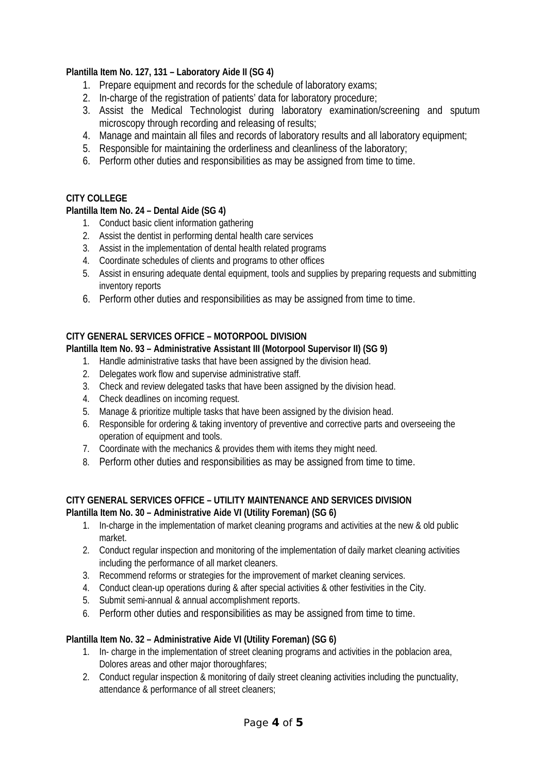## **Plantilla Item No. 127, 131 – Laboratory Aide II (SG 4)**

- 1. Prepare equipment and records for the schedule of laboratory exams;
- 2. In-charge of the registration of patients' data for laboratory procedure;
- 3. Assist the Medical Technologist during laboratory examination/screening and sputum microscopy through recording and releasing of results;
- 4. Manage and maintain all files and records of laboratory results and all laboratory equipment;
- 5. Responsible for maintaining the orderliness and cleanliness of the laboratory;
- 6. Perform other duties and responsibilities as may be assigned from time to time.

### **CITY COLLEGE**

## **Plantilla Item No. 24 – Dental Aide (SG 4)**

- 1. Conduct basic client information gathering
- 2. Assist the dentist in performing dental health care services
- 3. Assist in the implementation of dental health related programs
- 4. Coordinate schedules of clients and programs to other offices
- 5. Assist in ensuring adequate dental equipment, tools and supplies by preparing requests and submitting inventory reports
- 6. Perform other duties and responsibilities as may be assigned from time to time.

## **CITY GENERAL SERVICES OFFICE – MOTORPOOL DIVISION**

### **Plantilla Item No. 93 – Administrative Assistant III (Motorpool Supervisor II) (SG 9)**

- 1. Handle administrative tasks that have been assigned by the division head.
- 2. Delegates work flow and supervise administrative staff.
- 3. Check and review delegated tasks that have been assigned by the division head.
- 4. Check deadlines on incoming request.
- 5. Manage & prioritize multiple tasks that have been assigned by the division head.
- 6. Responsible for ordering & taking inventory of preventive and corrective parts and overseeing the operation of equipment and tools.
- 7. Coordinate with the mechanics & provides them with items they might need.
- 8. Perform other duties and responsibilities as may be assigned from time to time.

### **CITY GENERAL SERVICES OFFICE – UTILITY MAINTENANCE AND SERVICES DIVISION Plantilla Item No. 30 – Administrative Aide VI (Utility Foreman) (SG 6)**

- 1. In-charge in the implementation of market cleaning programs and activities at the new & old public market.
- 2. Conduct regular inspection and monitoring of the implementation of daily market cleaning activities including the performance of all market cleaners.
- 3. Recommend reforms or strategies for the improvement of market cleaning services.
- 4. Conduct clean-up operations during & after special activities & other festivities in the City.
- 5. Submit semi-annual & annual accomplishment reports.
- 6. Perform other duties and responsibilities as may be assigned from time to time.

### **Plantilla Item No. 32 – Administrative Aide VI (Utility Foreman) (SG 6)**

- 1. In- charge in the implementation of street cleaning programs and activities in the poblacion area, Dolores areas and other major thoroughfares;
- 2. Conduct regular inspection & monitoring of daily street cleaning activities including the punctuality, attendance & performance of all street cleaners;